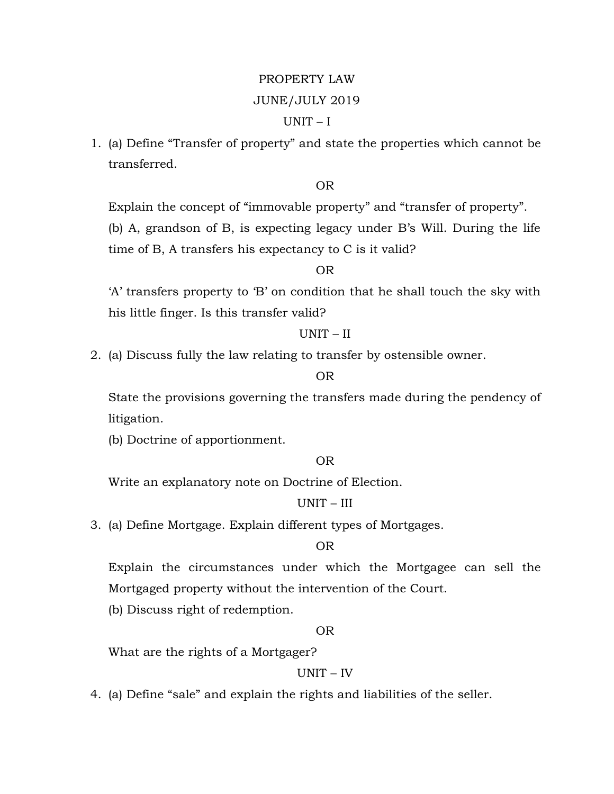# PROPERTY LAW

### JUNE/JULY 2019

## UNIT – I

1. (a) Define "Transfer of property" and state the properties which cannot be transferred.

OR

Explain the concept of "immovable property" and "transfer of property".

(b) A, grandson of B, is expecting legacy under B's Will. During the life time of B, A transfers his expectancy to C is it valid?

## OR

'A' transfers property to 'B' on condition that he shall touch the sky with his little finger. Is this transfer valid?

### UNIT – II

2. (a) Discuss fully the law relating to transfer by ostensible owner.

## OR

State the provisions governing the transfers made during the pendency of litigation.

(b) Doctrine of apportionment.

#### OR

Write an explanatory note on Doctrine of Election.

## UNIT – III

3. (a) Define Mortgage. Explain different types of Mortgages.

### OR

Explain the circumstances under which the Mortgagee can sell the Mortgaged property without the intervention of the Court.

(b) Discuss right of redemption.

### OR

What are the rights of a Mortgager?

## UNIT – IV

4. (a) Define "sale" and explain the rights and liabilities of the seller.